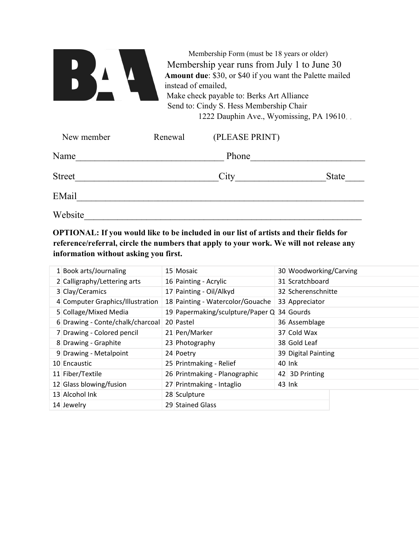| Membership Form (must be 18 years or older)<br>Membership year runs from July 1 to June 30<br>Amount due: \$30, or \$40 if you want the Palette mailed<br>instead of emailed,<br>Make check payable to: Berks Art Alliance |  |
|----------------------------------------------------------------------------------------------------------------------------------------------------------------------------------------------------------------------------|--|
| Send to: Cindy S. Hess Membership Chair                                                                                                                                                                                    |  |
| 1222 Dauphin Ave., Wyomissing, PA 19610.                                                                                                                                                                                   |  |

| New member    | Renewal | (PLEASE PRINT) |              |
|---------------|---------|----------------|--------------|
| Name          |         | Phone          |              |
| <b>Street</b> |         | City           | <b>State</b> |
| EMail         |         |                |              |
| Website       |         |                |              |

OPTIONAL: If you would like to be included in our list of artists and their fields for reference/referral, circle the numbers that apply to your work. We will not release any information without asking you first.

| 1 Book arts/Journaling           | 15 Mosaic                        | 30 Woodworking/Carving |
|----------------------------------|----------------------------------|------------------------|
|                                  |                                  |                        |
| 2 Calligraphy/Lettering arts     | 16 Painting - Acrylic            | 31 Scratchboard        |
| 3 Clay/Ceramics                  | 17 Painting - Oil/Alkyd          | 32 Scherenschnitte     |
| 4 Computer Graphics/Illustration | 18 Painting - Watercolor/Gouache | 33 Appreciator         |
| 5 Collage/Mixed Media            | 19 Papermaking/sculpture/Paper Q | 34 Gourds              |
| 6 Drawing - Conte/chalk/charcoal | 20 Pastel                        | 36 Assemblage          |
| 7 Drawing - Colored pencil       | 21 Pen/Marker                    | 37 Cold Wax            |
| 8 Drawing - Graphite             | 23 Photography                   | 38 Gold Leaf           |
| 9 Drawing - Metalpoint           | 24 Poetry                        | 39 Digital Painting    |
| 10 Encaustic                     | 25 Printmaking - Relief          | 40 Ink                 |
| 11 Fiber/Textile                 | 26 Printmaking - Planographic    | 42 3D Printing         |
| 12 Glass blowing/fusion          | 27 Printmaking - Intaglio        | $43$ lnk               |
| 13 Alcohol Ink                   | 28 Sculpture                     |                        |
| 14 Jewelry                       | 29 Stained Glass                 |                        |